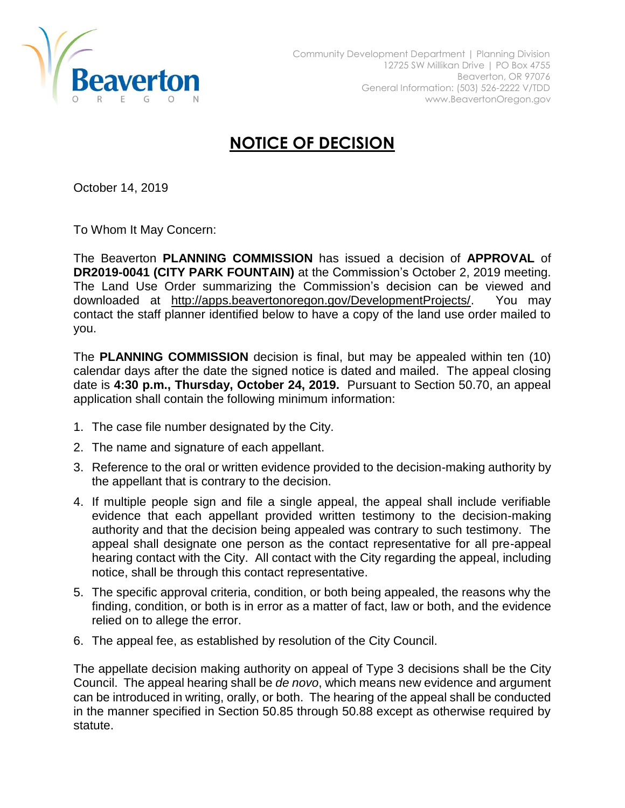

## **NOTICE OF DECISION**

October 14, 2019

To Whom It May Concern:

The Beaverton **PLANNING COMMISSION** has issued a decision of **APPROVAL** of **DR2019-0041 (CITY PARK FOUNTAIN)** at the Commission's October 2, 2019 meeting. The Land Use Order summarizing the Commission's decision can be viewed and downloaded at [http://apps.beavertonoregon.gov/DevelopmentProjects/.](http://apps.beavertonoregon.gov/DevelopmentProjects/) You may contact the staff planner identified below to have a copy of the land use order mailed to you.

The **PLANNING COMMISSION** decision is final, but may be appealed within ten (10) calendar days after the date the signed notice is dated and mailed. The appeal closing date is **4:30 p.m., Thursday, October 24, 2019.** Pursuant to Section 50.70, an appeal application shall contain the following minimum information:

- 1. The case file number designated by the City.
- 2. The name and signature of each appellant.
- 3. Reference to the oral or written evidence provided to the decision-making authority by the appellant that is contrary to the decision.
- 4. If multiple people sign and file a single appeal, the appeal shall include verifiable evidence that each appellant provided written testimony to the decision-making authority and that the decision being appealed was contrary to such testimony. The appeal shall designate one person as the contact representative for all pre-appeal hearing contact with the City. All contact with the City regarding the appeal, including notice, shall be through this contact representative.
- 5. The specific approval criteria, condition, or both being appealed, the reasons why the finding, condition, or both is in error as a matter of fact, law or both, and the evidence relied on to allege the error.
- 6. The appeal fee, as established by resolution of the City Council.

The appellate decision making authority on appeal of Type 3 decisions shall be the City Council. The appeal hearing shall be *de novo*, which means new evidence and argument can be introduced in writing, orally, or both. The hearing of the appeal shall be conducted in the manner specified in Section 50.85 through 50.88 except as otherwise required by statute.